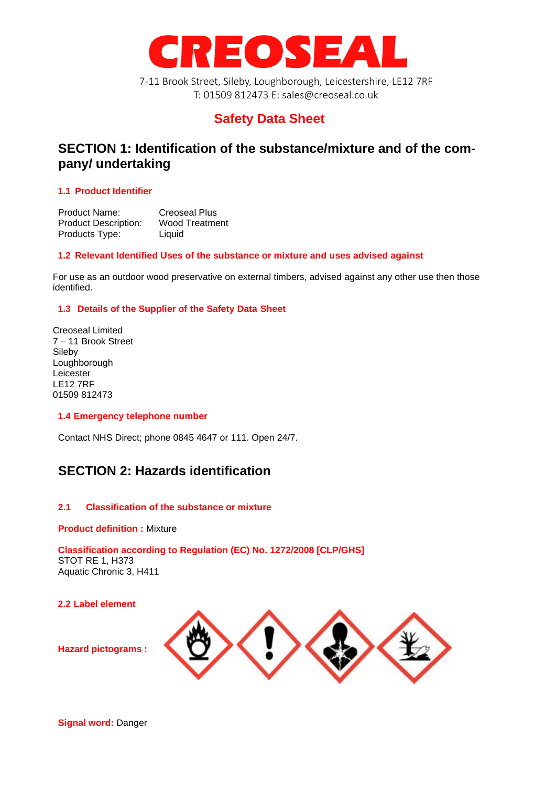

7-11 Brook Street, Sileby, Loughborough, Leicestershire, LE12 7RF T: 01509 812473 E: sales@creoseal.co.uk

# **Safety Data Sheet**

# **SECTION 1: Identification of the substance/mixture and of the company/ undertaking**

# **1.1 Product Identifier**

Product Name: Creoseal Plus<br>Product Description: Wood Treatment Product Description: Products Type: Liquid

# **1.2 Relevant Identified Uses of the substance or mixture and uses advised against**

For use as an outdoor wood preservative on external timbers, advised against any other use then those identified.

# **1.3 Details of the Supplier of the Safety Data Sheet**

Creoseal Limited 7 – 11 Brook Street Sileby Loughborough Leicester LE12 7RF 01509 812473

# **1.4 Emergency telephone number**

Contact NHS Direct; phone 0845 4647 or 111. Open 24/7.

# **SECTION 2: Hazards identification**

# **2.1 Classification of the substance or mixture**

#### **Product definition :** Mixture

### **Classification according to Regulation (EC) No. 1272/2008 [CLP/GHS]** STOT RE 1, H373 Aquatic Chronic 3, H411

**2.2 Label element**



**Hazard pictograms :**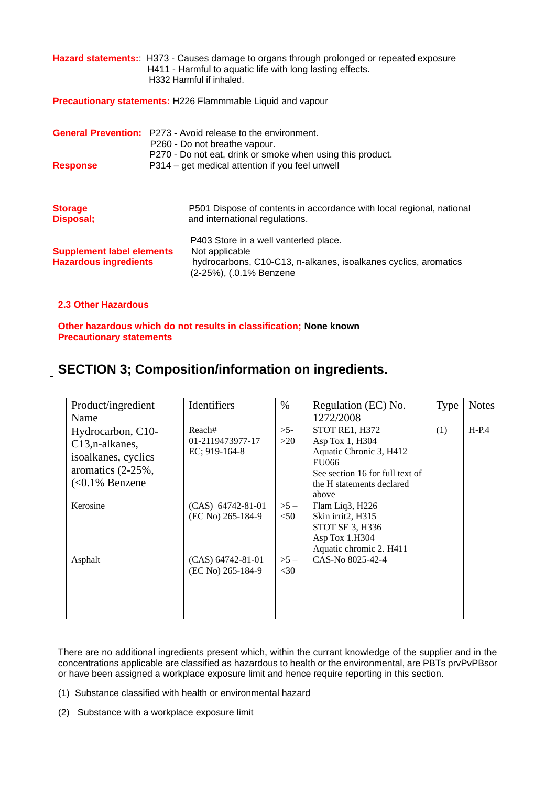**Hazard statements:**: H373 - Causes damage to organs through prolonged or repeated exposure H411 - Harmful to aquatic life with long lasting effects. H332 Harmful if inhaled.

**Precautionary statements:** H226 Flammmable Liquid and vapour

|                                                                  | <b>General Prevention:</b> P273 - Avoid release to the environment.<br>P260 - Do not breathe vapour.<br>P270 - Do not eat, drink or smoke when using this product.<br>P314 – get medical attention if you feel unwell |  |  |
|------------------------------------------------------------------|-----------------------------------------------------------------------------------------------------------------------------------------------------------------------------------------------------------------------|--|--|
| <b>Response</b>                                                  |                                                                                                                                                                                                                       |  |  |
| <b>Storage</b><br>Disposal;                                      | P501 Dispose of contents in accordance with local regional, national<br>and international regulations.                                                                                                                |  |  |
| <b>Supplement label elements</b><br><b>Hazardous ingredients</b> | P403 Store in a well vanterled place.<br>Not applicable<br>hydrocarbons, C10-C13, n-alkanes, isoalkanes cyclics, aromatics<br>(2-25%), (.0.1% Benzene                                                                 |  |  |

# **2.3 Other Hazardous**

**Other hazardous which do not results in classification; None known Precautionary statements**

# **SECTION 3; Composition/information on ingredients.**

 $\overline{\Pi}$ 

| Product/ingredient<br>Name                                                                                             | Identifiers                                 | $\%$            | Regulation (EC) No.<br>1272/2008                                                                                                               | <b>Type</b> | <b>Notes</b> |
|------------------------------------------------------------------------------------------------------------------------|---------------------------------------------|-----------------|------------------------------------------------------------------------------------------------------------------------------------------------|-------------|--------------|
| Hydrocarbon, C10-<br>C <sub>13</sub> , n-alkanes,<br>isoalkanes, cyclics<br>aromatics $(2-25\%$ ,<br>$(<0.1\%$ Benzene | Reach#<br>01-2119473977-17<br>EC; 919-164-8 | $>5-$<br>>20    | STOT RE1, H372<br>Asp Tox 1, H304<br>Aquatic Chronic 3, H412<br>EU066<br>See section 16 for full text of<br>the H statements declared<br>above | (1)         | $H-P.4$      |
| Kerosine                                                                                                               | $(CAS)$ 64742-81-01<br>(EC No) 265-184-9    | $>5-$<br>< 50   | Flam Liq3, H226<br>Skin irrit2, H315<br>STOT SE 3, H336<br>Asp Tox 1.H304<br>Aquatic chromic 2. H411                                           |             |              |
| Asphalt                                                                                                                | $(CAS)$ 64742-81-01<br>(EC No) 265-184-9    | $>5-$<br>$<$ 30 | CAS-No 8025-42-4                                                                                                                               |             |              |

There are no additional ingredients present which, within the currant knowledge of the supplier and in the concentrations applicable are classified as hazardous to health or the environmental, are PBTs prvPvPBsor or have been assigned a workplace exposure limit and hence require reporting in this section.

- (1) Substance classified with health or environmental hazard
- (2) Substance with a workplace exposure limit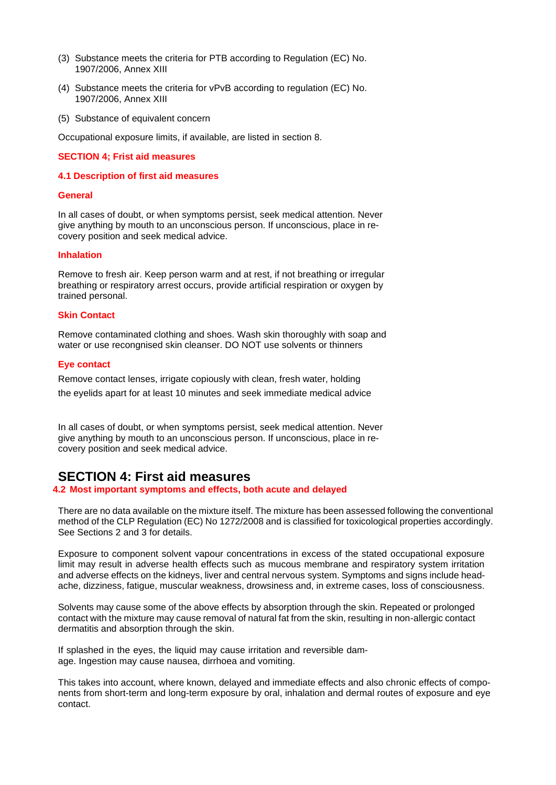- (3) Substance meets the criteria for PTB according to Regulation (EC) No. 1907/2006, Annex XIII
- (4) Substance meets the criteria for vPvB according to regulation (EC) No. 1907/2006, Annex XIII
- (5) Substance of equivalent concern

Occupational exposure limits, if available, are listed in section 8.

#### **SECTION 4; Frist aid measures**

#### **4.1 Description of first aid measures**

#### **General**

In all cases of doubt, or when symptoms persist, seek medical attention. Never give anything by mouth to an unconscious person. If unconscious, place in recovery position and seek medical advice.

#### **Inhalation**

Remove to fresh air. Keep person warm and at rest, if not breathing or irregular breathing or respiratory arrest occurs, provide artificial respiration or oxygen by trained personal.

#### **Skin Contact**

Remove contaminated clothing and shoes. Wash skin thoroughly with soap and water or use recongnised skin cleanser. DO NOT use solvents or thinners

#### **Eye contact**

Remove contact lenses, irrigate copiously with clean, fresh water, holding the eyelids apart for at least 10 minutes and seek immediate medical advice

In all cases of doubt, or when symptoms persist, seek medical attention. Never give anything by mouth to an unconscious person. If unconscious, place in recovery position and seek medical advice.

# **SECTION 4: First aid measures**

**4.2 Most important symptoms and effects, both acute and delayed**

There are no data available on the mixture itself. The mixture has been assessed following the conventional method of the CLP Regulation (EC) No 1272/2008 and is classified for toxicological properties accordingly. See Sections 2 and 3 for details.

Exposure to component solvent vapour concentrations in excess of the stated occupational exposure limit may result in adverse health effects such as mucous membrane and respiratory system irritation and adverse effects on the kidneys, liver and central nervous system. Symptoms and signs include headache, dizziness, fatigue, muscular weakness, drowsiness and, in extreme cases, loss of consciousness.

Solvents may cause some of the above effects by absorption through the skin. Repeated or prolonged contact with the mixture may cause removal of natural fat from the skin, resulting in non-allergic contact dermatitis and absorption through the skin.

If splashed in the eyes, the liquid may cause irritation and reversible damage. Ingestion may cause nausea, dirrhoea and vomiting.

This takes into account, where known, delayed and immediate effects and also chronic effects of components from short-term and long-term exposure by oral, inhalation and dermal routes of exposure and eye contact.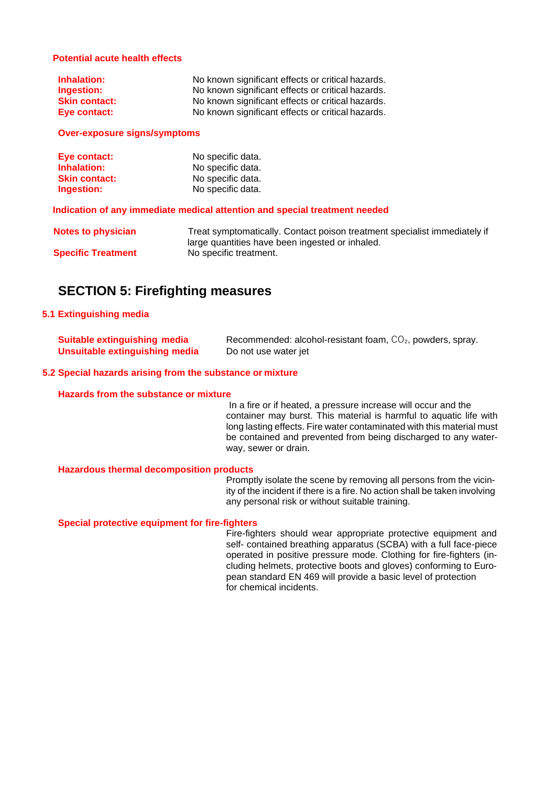### **Potential acute health effects**

| <b>Inhalation:</b>   | No known significant effects or critical hazards. |
|----------------------|---------------------------------------------------|
| Ingestion:           | No known significant effects or critical hazards. |
| <b>Skin contact:</b> | No known significant effects or critical hazards. |
| Eye contact:         | No known significant effects or critical hazards. |

**Over-exposure signs/symptoms**

| Eye contact:         | No specific data. |
|----------------------|-------------------|
| Inhalation:          | No specific data. |
| <b>Skin contact:</b> | No specific data. |
| Ingestion:           | No specific data. |

**Indication of any immediate medical attention and special treatment needed**

| <b>Notes to physician</b> | Treat symptomatically. Contact poison treatment specialist immediately if |
|---------------------------|---------------------------------------------------------------------------|
|                           | large quantities have been ingested or inhaled.                           |
| <b>Specific Treatment</b> | No specific treatment.                                                    |

# **SECTION 5: Firefighting measures**

### **5.1 Extinguishing media**

| <b>Suitable extinguishing media</b> | Recommended: alcohol-resistant foam, $CO2$ , powders, spray. |
|-------------------------------------|--------------------------------------------------------------|
| Unsuitable extinguishing media      | Do not use water jet                                         |

### **5.2 Special hazards arising from the substance or mixture**

#### **Hazards from the substance or mixture**

In a fire or if heated, a pressure increase will occur and the container may burst. This material is harmful to aquatic life with long lasting effects. Fire water contaminated with this material must be contained and prevented from being discharged to any waterway, sewer or drain.

#### **Hazardous thermal decomposition products**

Promptly isolate the scene by removing all persons from the vicinity of the incident if there is a fire. No action shall be taken involving any personal risk or without suitable training.

### **Special protective equipment for fire-fighters**

Fire-fighters should wear appropriate protective equipment and self- contained breathing apparatus (SCBA) with a full face-piece operated in positive pressure mode. Clothing for fire-fighters (including helmets, protective boots and gloves) conforming to European standard EN 469 will provide a basic level of protection for chemical incidents.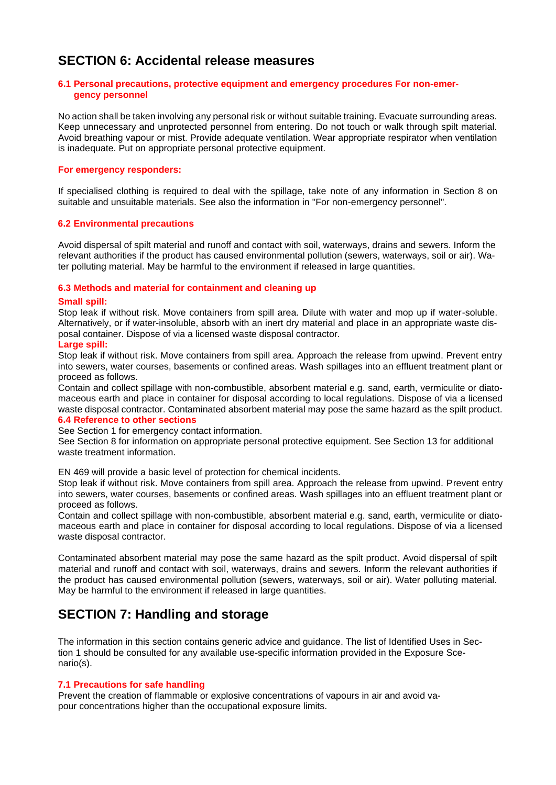# **SECTION 6: Accidental release measures**

#### **6.1 Personal precautions, protective equipment and emergency procedures For non-emergency personnel**

No action shall be taken involving any personal risk or without suitable training. Evacuate surrounding areas. Keep unnecessary and unprotected personnel from entering. Do not touch or walk through spilt material. Avoid breathing vapour or mist. Provide adequate ventilation. Wear appropriate respirator when ventilation is inadequate. Put on appropriate personal protective equipment.

### **For emergency responders:**

If specialised clothing is required to deal with the spillage, take note of any information in Section 8 on suitable and unsuitable materials. See also the information in "For non-emergency personnel".

### **6.2 Environmental precautions**

Avoid dispersal of spilt material and runoff and contact with soil, waterways, drains and sewers. Inform the relevant authorities if the product has caused environmental pollution (sewers, waterways, soil or air). Water polluting material. May be harmful to the environment if released in large quantities.

### **6.3 Methods and material for containment and cleaning up**

#### **Small spill:**

Stop leak if without risk. Move containers from spill area. Dilute with water and mop up if water-soluble. Alternatively, or if water-insoluble, absorb with an inert dry material and place in an appropriate waste disposal container. Dispose of via a licensed waste disposal contractor.

### **Large spill:**

Stop leak if without risk. Move containers from spill area. Approach the release from upwind. Prevent entry into sewers, water courses, basements or confined areas. Wash spillages into an effluent treatment plant or proceed as follows.

Contain and collect spillage with non-combustible, absorbent material e.g. sand, earth, vermiculite or diatomaceous earth and place in container for disposal according to local regulations. Dispose of via a licensed waste disposal contractor. Contaminated absorbent material may pose the same hazard as the spilt product. **6.4 Reference to other sections**

See Section 1 for emergency contact information.

See Section 8 for information on appropriate personal protective equipment. See Section 13 for additional waste treatment information.

EN 469 will provide a basic level of protection for chemical incidents.

Stop leak if without risk. Move containers from spill area. Approach the release from upwind. Prevent entry into sewers, water courses, basements or confined areas. Wash spillages into an effluent treatment plant or proceed as follows.

Contain and collect spillage with non-combustible, absorbent material e.g. sand, earth, vermiculite or diatomaceous earth and place in container for disposal according to local regulations. Dispose of via a licensed waste disposal contractor.

Contaminated absorbent material may pose the same hazard as the spilt product. Avoid dispersal of spilt material and runoff and contact with soil, waterways, drains and sewers. Inform the relevant authorities if the product has caused environmental pollution (sewers, waterways, soil or air). Water polluting material. May be harmful to the environment if released in large quantities.

# **SECTION 7: Handling and storage**

The information in this section contains generic advice and guidance. The list of Identified Uses in Section 1 should be consulted for any available use-specific information provided in the Exposure Scenario(s).

#### **7.1 Precautions for safe handling**

Prevent the creation of flammable or explosive concentrations of vapours in air and avoid vapour concentrations higher than the occupational exposure limits.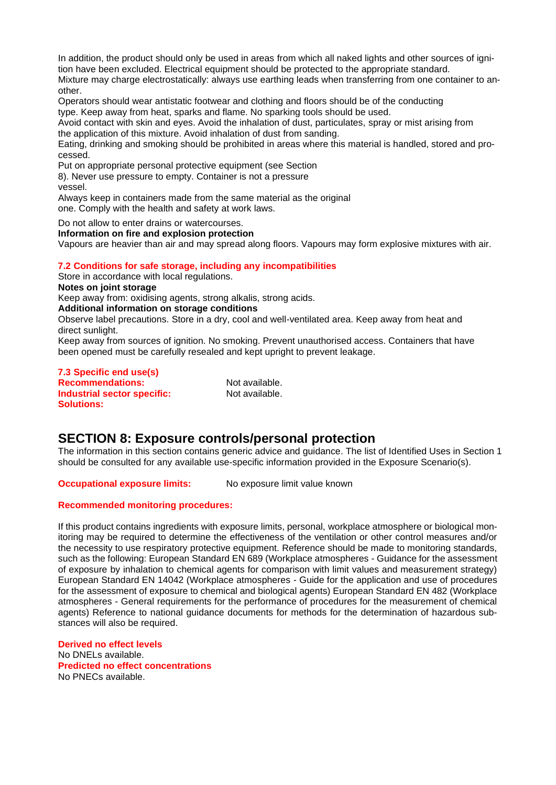In addition, the product should only be used in areas from which all naked lights and other sources of ignition have been excluded. Electrical equipment should be protected to the appropriate standard. Mixture may charge electrostatically: always use earthing leads when transferring from one container to an-

other. Operators should wear antistatic footwear and clothing and floors should be of the conducting type. Keep away from heat, sparks and flame. No sparking tools should be used.

Avoid contact with skin and eyes. Avoid the inhalation of dust, particulates, spray or mist arising from the application of this mixture. Avoid inhalation of dust from sanding.

Eating, drinking and smoking should be prohibited in areas where this material is handled, stored and processed.

Put on appropriate personal protective equipment (see Section

8). Never use pressure to empty. Container is not a pressure

vessel.

Always keep in containers made from the same material as the original one. Comply with the health and safety at work laws.

Do not allow to enter drains or watercourses.

#### **Information on fire and explosion protection**

Vapours are heavier than air and may spread along floors. Vapours may form explosive mixtures with air.

# **7.2 Conditions for safe storage, including any incompatibilities**

Store in accordance with local regulations.

**Notes on joint storage**

Keep away from: oxidising agents, strong alkalis, strong acids.

**Additional information on storage conditions**

Observe label precautions. Store in a dry, cool and well-ventilated area. Keep away from heat and direct sunlight.

Keep away from sources of ignition. No smoking. Prevent unauthorised access. Containers that have been opened must be carefully resealed and kept upright to prevent leakage.

**7.3 Specific end use(s) Recommendations:** Not available. **Industrial sector specific:** Not available. **Solutions:**

# **SECTION 8: Exposure controls/personal protection**

The information in this section contains generic advice and guidance. The list of Identified Uses in Section 1 should be consulted for any available use-specific information provided in the Exposure Scenario(s).

**Occupational exposure limits:** No exposure limit value known

# **Recommended monitoring procedures:**

If this product contains ingredients with exposure limits, personal, workplace atmosphere or biological monitoring may be required to determine the effectiveness of the ventilation or other control measures and/or the necessity to use respiratory protective equipment. Reference should be made to monitoring standards, such as the following: European Standard EN 689 (Workplace atmospheres - Guidance for the assessment of exposure by inhalation to chemical agents for comparison with limit values and measurement strategy) European Standard EN 14042 (Workplace atmospheres - Guide for the application and use of procedures for the assessment of exposure to chemical and biological agents) European Standard EN 482 (Workplace atmospheres - General requirements for the performance of procedures for the measurement of chemical agents) Reference to national guidance documents for methods for the determination of hazardous substances will also be required.

**Derived no effect levels** No DNELs available. **Predicted no effect concentrations** No PNECs available.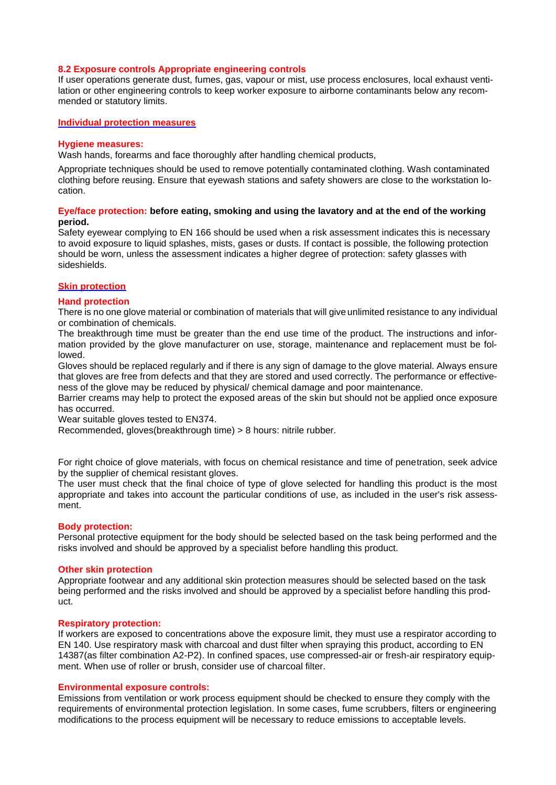#### **8.2 Exposure controls Appropriate engineering controls**

If user operations generate dust, fumes, gas, vapour or mist, use process enclosures, local exhaust ventilation or other engineering controls to keep worker exposure to airborne contaminants below any recommended or statutory limits.

#### **Individual protection measures**

#### **Hygiene measures:**

Wash hands, forearms and face thoroughly after handling chemical products,

Appropriate techniques should be used to remove potentially contaminated clothing. Wash contaminated clothing before reusing. Ensure that eyewash stations and safety showers are close to the workstation location.

#### **Eye/face protection: before eating, smoking and using the lavatory and at the end of the working period.**

Safety eyewear complying to EN 166 should be used when a risk assessment indicates this is necessary to avoid exposure to liquid splashes, mists, gases or dusts. If contact is possible, the following protection should be worn, unless the assessment indicates a higher degree of protection: safety glasses with sideshields.

### **Skin protection**

#### **Hand protection**

There is no one glove material or combination of materials that will give unlimited resistance to any individual or combination of chemicals.

The breakthrough time must be greater than the end use time of the product. The instructions and information provided by the glove manufacturer on use, storage, maintenance and replacement must be followed.

Gloves should be replaced regularly and if there is any sign of damage to the glove material. Always ensure that gloves are free from defects and that they are stored and used correctly. The performance or effectiveness of the glove may be reduced by physical/ chemical damage and poor maintenance.

Barrier creams may help to protect the exposed areas of the skin but should not be applied once exposure has occurred.

Wear suitable gloves tested to EN374.

Recommended, gloves(breakthrough time) > 8 hours: nitrile rubber.

For right choice of glove materials, with focus on chemical resistance and time of penetration, seek advice by the supplier of chemical resistant gloves.

The user must check that the final choice of type of glove selected for handling this product is the most appropriate and takes into account the particular conditions of use, as included in the user's risk assessment.

#### **Body protection:**

Personal protective equipment for the body should be selected based on the task being performed and the risks involved and should be approved by a specialist before handling this product.

#### **Other skin protection**

Appropriate footwear and any additional skin protection measures should be selected based on the task being performed and the risks involved and should be approved by a specialist before handling this product.

#### **Respiratory protection:**

If workers are exposed to concentrations above the exposure limit, they must use a respirator according to EN 140. Use respiratory mask with charcoal and dust filter when spraying this product, according to EN 14387(as filter combination A2-P2). In confined spaces, use compressed-air or fresh-air respiratory equipment. When use of roller or brush, consider use of charcoal filter.

#### **Environmental exposure controls:**

Emissions from ventilation or work process equipment should be checked to ensure they comply with the requirements of environmental protection legislation. In some cases, fume scrubbers, filters or engineering modifications to the process equipment will be necessary to reduce emissions to acceptable levels.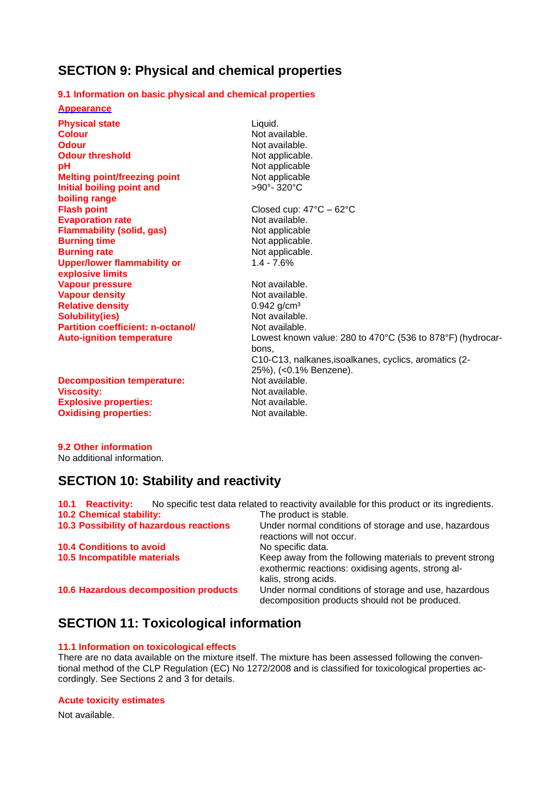# **SECTION 9: Physical and chemical properties**

# **9.1 Information on basic physical and chemical properties**

**Appearance**

| <b>Physical state</b><br>Liquid.                   |                                                            |
|----------------------------------------------------|------------------------------------------------------------|
| <b>Colour</b>                                      | Not available.                                             |
| Odour                                              | Not available.                                             |
| <b>Odour threshold</b>                             | Not applicable.                                            |
| pH                                                 | Not applicable                                             |
| <b>Melting point/freezing point</b>                | Not applicable                                             |
| Initial boiling point and                          | $>90^\circ$ - 320 $^{\circ}$ C                             |
| boiling range                                      |                                                            |
| <b>Flash point</b>                                 | Closed cup: $47^{\circ}$ C - 62 $^{\circ}$ C               |
| <b>Evaporation rate</b>                            | Not available.                                             |
| <b>Flammability (solid, gas)</b>                   | Not applicable                                             |
| <b>Burning time</b>                                | Not applicable.                                            |
| <b>Burning rate</b>                                | Not applicable.                                            |
| <b>Upper/lower flammability or</b><br>$1.4 - 7.6%$ |                                                            |
| explosive limits                                   |                                                            |
| <b>Vapour pressure</b>                             | Not available.                                             |
| <b>Vapour density</b>                              | Not available.                                             |
| <b>Relative density</b>                            | $0.942$ g/cm <sup>3</sup>                                  |
| <b>Solubility(ies)</b>                             | Not available.                                             |
| <b>Partition coefficient: n-octanol/</b>           | Not available.                                             |
| <b>Auto-ignition temperature</b>                   | Lowest known value: 280 to 470°C (536 to 878°F) (hydrocar- |
| bons.                                              |                                                            |
|                                                    | C10-C13, nalkanes, isoalkanes, cyclics, aromatics (2-      |
|                                                    | 25%), (<0.1% Benzene).                                     |
| <b>Decomposition temperature:</b>                  | Not available.                                             |
| <b>Viscosity:</b>                                  | Not available.                                             |
| <b>Explosive properties:</b>                       | Not available.                                             |
| <b>Oxidising properties:</b><br>Not available.     |                                                            |

**9.2 Other information** No additional information.

# **SECTION 10: Stability and reactivity**

| <b>10.1 Reactivity:</b>                 | No specific test data related to reactivity available for this product or its ingredients.                                             |
|-----------------------------------------|----------------------------------------------------------------------------------------------------------------------------------------|
| <b>10.2 Chemical stability:</b>         | The product is stable.                                                                                                                 |
| 10.3 Possibility of hazardous reactions | Under normal conditions of storage and use, hazardous<br>reactions will not occur.                                                     |
| <b>10.4 Conditions to avoid</b>         | No specific data.                                                                                                                      |
| 10.5 Incompatible materials             | Keep away from the following materials to prevent strong<br>exothermic reactions: oxidising agents, strong al-<br>kalis, strong acids. |
| 10.6 Hazardous decomposition products   | Under normal conditions of storage and use, hazardous<br>decomposition products should not be produced.                                |

# **SECTION 11: Toxicological information**

# **11.1 Information on toxicological effects**

There are no data available on the mixture itself. The mixture has been assessed following the conventional method of the CLP Regulation (EC) No 1272/2008 and is classified for toxicological properties accordingly. See Sections 2 and 3 for details.

# **Acute toxicity estimates**

Not available.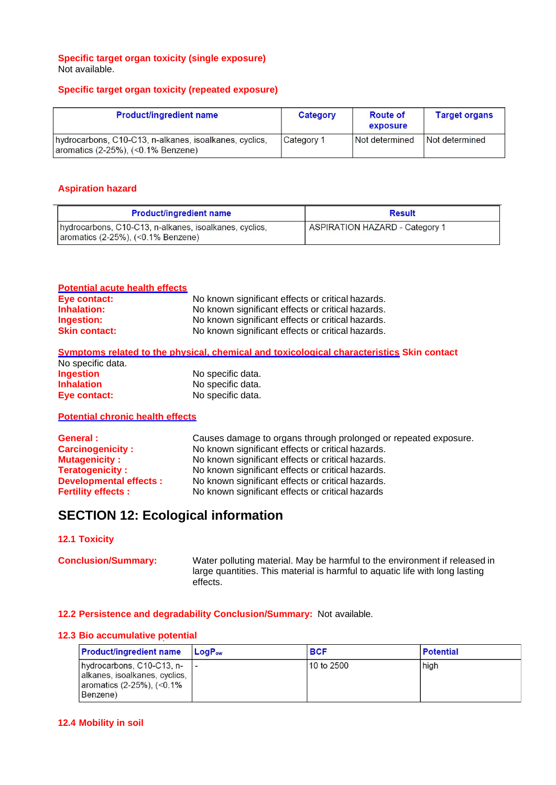### **Specific target organ toxicity (single exposure)** Not available.

### **Specific target organ toxicity (repeated exposure)**

| <b>Product/ingredient name</b>                                                                    | Category   | <b>Route of</b><br>exposure | <b>Target organs</b> |
|---------------------------------------------------------------------------------------------------|------------|-----------------------------|----------------------|
| hydrocarbons, C10-C13, n-alkanes, isoalkanes, cyclics,<br>aromatics $(2-25%)$ , $(0.1\% Benzene)$ | Category 1 | Not determined              | Not determined       |

## **Aspiration hazard**

| <b>Product/ingredient name</b>                                                                       | <b>Result</b>                         |
|------------------------------------------------------------------------------------------------------|---------------------------------------|
| hydrocarbons, C10-C13, n-alkanes, isoalkanes, cyclics,<br>$\vert$ aromatics (2-25%), (<0.1% Benzene) | <b>ASPIRATION HAZARD - Category 1</b> |

#### **Potential acute health effects**

| Eye contact:         | No known significant effects or critical hazards. |
|----------------------|---------------------------------------------------|
| Inhalation:          | No known significant effects or critical hazards. |
| Ingestion:           | No known significant effects or critical hazards. |
| <b>Skin contact:</b> | No known significant effects or critical hazards. |

### **Symptoms related to the physical, chemical and toxicological characteristics Skin contact**

| No specific data. |                   |
|-------------------|-------------------|
| <b>Ingestion</b>  | No specific data. |
| <b>Inhalation</b> | No specific data. |
| Eye contact:      | No specific data. |

### **Potential chronic health effects**

| General :                     | Causes damage to organs through prolonged or repeated exposure. |
|-------------------------------|-----------------------------------------------------------------|
| <b>Carcinogenicity:</b>       | No known significant effects or critical hazards.               |
| <b>Mutagenicity:</b>          | No known significant effects or critical hazards.               |
| <b>Teratogenicity:</b>        | No known significant effects or critical hazards.               |
| <b>Developmental effects:</b> | No known significant effects or critical hazards.               |
| <b>Fertility effects:</b>     | No known significant effects or critical hazards                |

# **SECTION 12: Ecological information**

### **12.1 Toxicity**

**Conclusion/Summary:** Water polluting material. May be harmful to the environment if released in large quantities. This material is harmful to aquatic life with long lasting effects.

## **12.2 Persistence and degradability Conclusion/Summary:** Not available.

## **12.3 Bio accumulative potential**

| <b>Product/ingredient name</b>                                                                       | <b>LogP</b> <sub>ow</sub> | <b>BCF</b> | <b>Potential</b> |
|------------------------------------------------------------------------------------------------------|---------------------------|------------|------------------|
| hydrocarbons, C10-C13, n-<br>alkanes, isoalkanes, cyclics,<br>aromatics (2-25%), (<0.1%)<br>Benzene) |                           | 10 to 2500 | high             |

#### **12.4 Mobility in soil**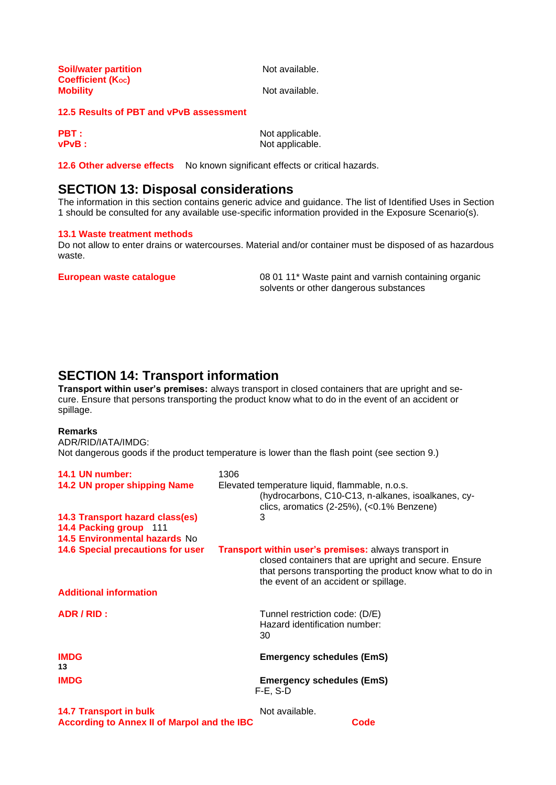| <b>Soil/water partition</b> |  |
|-----------------------------|--|
| <b>Coefficient (Koc)</b>    |  |
| <b>Mobility</b>             |  |

**Soil/water partition** Not available.

**Not available.** 

## **12.5 Results of PBT and vPvB assessment**

| <b>PBT:</b> | Not applicable. |
|-------------|-----------------|
| vPvB :      | Not applicable. |

**12.6 Other adverse effects** No known significant effects or critical hazards.

# **SECTION 13: Disposal considerations**

The information in this section contains generic advice and guidance. The list of Identified Uses in Section 1 should be consulted for any available use-specific information provided in the Exposure Scenario(s).

#### **13.1 Waste treatment methods**

Do not allow to enter drains or watercourses. Material and/or container must be disposed of as hazardous waste.

**European waste catalogue** 08 01 11\* Waste paint and varnish containing organic solvents or other dangerous substances

# **SECTION 14: Transport information**

**Transport within user's premises:** always transport in closed containers that are upright and secure. Ensure that persons transporting the product know what to do in the event of an accident or spillage.

# **Remarks**

ADR/RID/IATA/IMDG: Not dangerous goods if the product temperature is lower than the flash point (see section 9.)

| 14.1 UN number:                                    | 1306                                                                                                                                                                                                                |
|----------------------------------------------------|---------------------------------------------------------------------------------------------------------------------------------------------------------------------------------------------------------------------|
| 14.2 UN proper shipping Name                       | Elevated temperature liquid, flammable, n.o.s.<br>(hydrocarbons, C10-C13, n-alkanes, isoalkanes, cy-<br>clics, aromatics $(2-25%)$ , $(0.1\% Benzene)$                                                              |
| 14.3 Transport hazard class(es)                    | 3                                                                                                                                                                                                                   |
| 14.4 Packing group 111                             |                                                                                                                                                                                                                     |
| 14.5 Environmental hazards No                      |                                                                                                                                                                                                                     |
| <b>14.6 Special precautions for user</b>           | Transport within user's premises: always transport in<br>closed containers that are upright and secure. Ensure<br>that persons transporting the product know what to do in<br>the event of an accident or spillage. |
| <b>Additional information</b>                      |                                                                                                                                                                                                                     |
| ADR / RID :                                        | Tunnel restriction code: (D/E)<br>Hazard identification number:<br>30                                                                                                                                               |
| <b>IMDG</b><br>13                                  | <b>Emergency schedules (EmS)</b>                                                                                                                                                                                    |
| <b>IMDG</b>                                        | <b>Emergency schedules (EmS)</b><br>$F-E$ , S-D                                                                                                                                                                     |
| <b>14.7 Transport in bulk</b>                      | Not available.                                                                                                                                                                                                      |
| <b>According to Annex II of Marpol and the IBC</b> | Code                                                                                                                                                                                                                |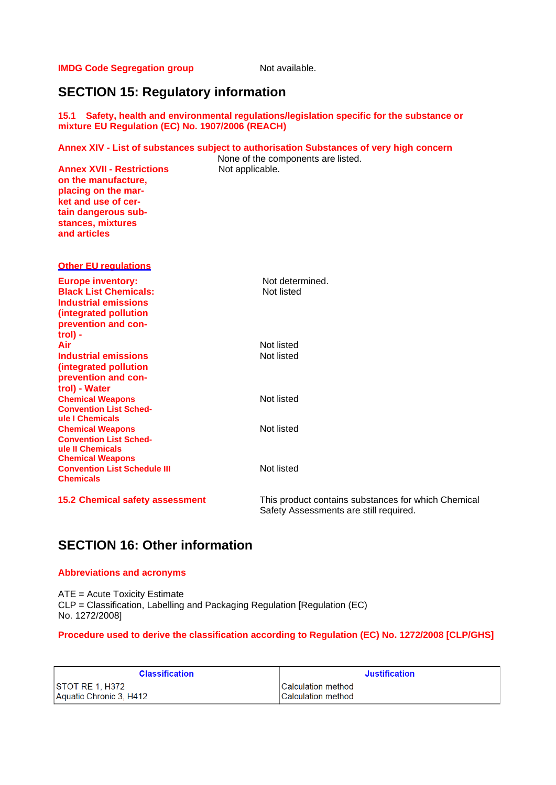**IMDG Code Segregation group** Not available.

# **SECTION 15: Regulatory information**

**15.1 Safety, health and environmental regulations/legislation specific for the substance or mixture EU Regulation (EC) No. 1907/2006 (REACH)**

#### **Annex XIV - List of substances subject to authorisation Substances of very high concern**

**Annex XVII - Restrictions** Not applicable. **on the manufacture, placing on the market and use of certain dangerous substances, mixtures and articles** 

None of the components are listed.

| <b>Other EU regulations</b>                                                                                                             |                                                                                               |
|-----------------------------------------------------------------------------------------------------------------------------------------|-----------------------------------------------------------------------------------------------|
| <b>Europe inventory:</b><br><b>Black List Chemicals:</b><br><b>Industrial emissions</b><br>(integrated pollution<br>prevention and con- | Not determined.<br>Not listed                                                                 |
| trol) -<br>Air                                                                                                                          | Not listed                                                                                    |
| Industrial emissions<br>(integrated pollution<br>prevention and con-<br>trol) - Water                                                   | Not listed                                                                                    |
| <b>Chemical Weapons</b><br><b>Convention List Sched-</b><br>ule I Chemicals                                                             | Not listed                                                                                    |
| <b>Chemical Weapons</b><br><b>Convention List Sched-</b><br>ule II Chemicals<br><b>Chemical Weapons</b>                                 | Not listed                                                                                    |
| <b>Convention List Schedule III</b><br><b>Chemicals</b>                                                                                 | Not listed                                                                                    |
| <b>15.2 Chemical safety assessment</b>                                                                                                  | This product contains substances for which Chemical<br>Safety Assessments are still required. |

# **SECTION 16: Other information**

#### **Abbreviations and acronyms**

ATE = Acute Toxicity Estimate CLP = Classification, Labelling and Packaging Regulation [Regulation (EC) No. 1272/2008]

# **Procedure used to derive the classification according to Regulation (EC) No. 1272/2008 [CLP/GHS]**

| <b>Classification</b>   | <b>Justification</b>      |
|-------------------------|---------------------------|
| STOT RE 1. H372         | <b>Calculation method</b> |
| Aquatic Chronic 3, H412 | <b>Calculation method</b> |